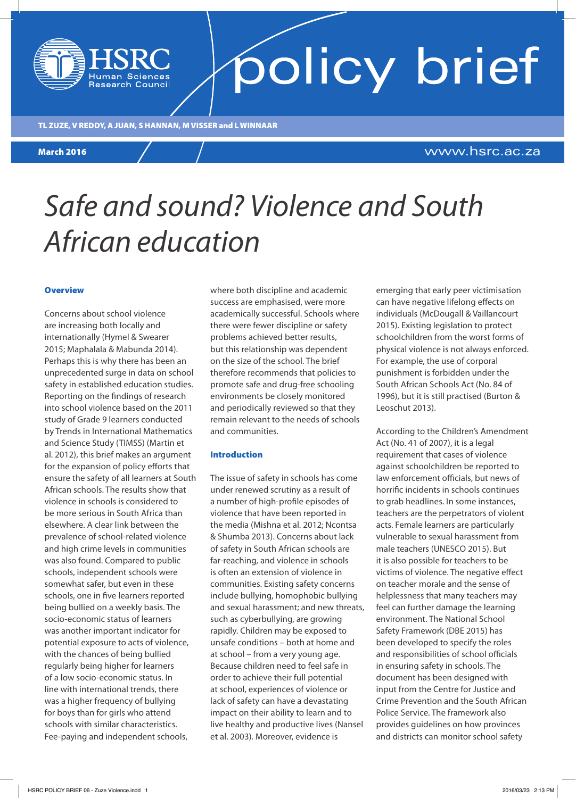#### TL ZUZE, V REDDY, A JUAN, S HANNAN, M VISSER and L WINNAAR

**Research Council** 

#### March 2016

### www.hsrc.ac.za

policy brief

## *Safe and sound? Violence and South African education*

#### **Overview**

Concerns about school violence are increasing both locally and internationally (Hymel & Swearer 2015; Maphalala & Mabunda 2014). Perhaps this is why there has been an unprecedented surge in data on school safety in established education studies. Reporting on the findings of research into school violence based on the 2011 study of Grade 9 learners conducted by Trends in International Mathematics and Science Study (TIMSS) (Martin et al. 2012), this brief makes an argument for the expansion of policy efforts that ensure the safety of all learners at South African schools. The results show that violence in schools is considered to be more serious in South Africa than elsewhere. A clear link between the prevalence of school-related violence and high crime levels in communities was also found. Compared to public schools, independent schools were somewhat safer, but even in these schools, one in five learners reported being bullied on a weekly basis. The socio-economic status of learners was another important indicator for potential exposure to acts of violence, with the chances of being bullied regularly being higher for learners of a low socio-economic status. In line with international trends, there was a higher frequency of bullying for boys than for girls who attend schools with similar characteristics. Fee-paying and independent schools,

where both discipline and academic success are emphasised, were more academically successful. Schools where there were fewer discipline or safety problems achieved better results, but this relationship was dependent on the size of the school. The brief therefore recommends that policies to promote safe and drug-free schooling environments be closely monitored and periodically reviewed so that they remain relevant to the needs of schools and communities.

#### Introduction

The issue of safety in schools has come under renewed scrutiny as a result of a number of high-profile episodes of violence that have been reported in the media (Mishna et al. 2012; Ncontsa & Shumba 2013). Concerns about lack of safety in South African schools are far-reaching, and violence in schools is often an extension of violence in communities. Existing safety concerns include bullying, homophobic bullying and sexual harassment; and new threats, such as cyberbullying, are growing rapidly. Children may be exposed to unsafe conditions – both at home and at school – from a very young age. Because children need to feel safe in order to achieve their full potential at school, experiences of violence or lack of safety can have a devastating impact on their ability to learn and to live healthy and productive lives (Nansel et al. 2003). Moreover, evidence is

emerging that early peer victimisation can have negative lifelong effects on individuals (McDougall & Vaillancourt 2015). Existing legislation to protect schoolchildren from the worst forms of physical violence is not always enforced. For example, the use of corporal punishment is forbidden under the South African Schools Act (No. 84 of 1996), but it is still practised (Burton & Leoschut 2013).

According to the Children's Amendment Act (No. 41 of 2007), it is a legal requirement that cases of violence against schoolchildren be reported to law enforcement officials, but news of horrific incidents in schools continues to grab headlines. In some instances, teachers are the perpetrators of violent acts. Female learners are particularly vulnerable to sexual harassment from male teachers (UNESCO 2015). But it is also possible for teachers to be victims of violence. The negative effect on teacher morale and the sense of helplessness that many teachers may feel can further damage the learning environment. The National School Safety Framework (DBE 2015) has been developed to specify the roles and responsibilities of school officials in ensuring safety in schools. The document has been designed with input from the Centre for Justice and Crime Prevention and the South African Police Service. The framework also provides guidelines on how provinces and districts can monitor school safety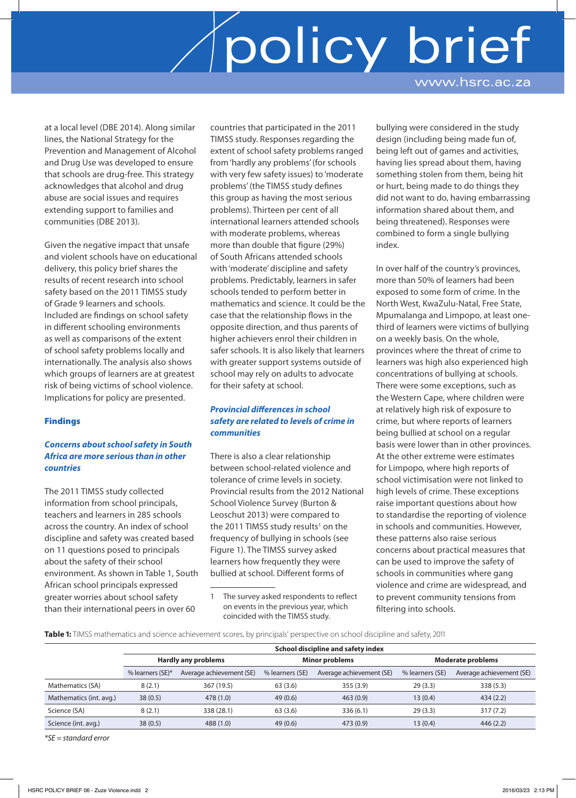# policy brief www.hsrc.ac.za

at a local level (DBE 2014). Along similar lines, the National Strategy for the Prevention and Management of Alcohol and Drug Use was developed to ensure that schools are drug-free. This strategy acknowledges that alcohol and drug abuse are social issues and requires extending support to families and communities (DBE 2013).

Given the negative impact that unsafe and violent schools have on educational delivery, this policy brief shares the results of recent research into school safety based on the 2011 TIMSS study of Grade 9 learners and schools. Included are findings on school safety in different schooling environments as well as comparisons of the extent of school safety problems locally and internationally. The analysis also shows which groups of learners are at greatest risk of being victims of school violence. Implications for policy are presented.

#### Findings

#### *Concerns about school safety in South Africa are more serious than in other countries*

The 2011 TIMSS study collected information from school principals, teachers and learners in 285 schools across the country. An index of school discipline and safety was created based on 11 questions posed to principals about the safety of their school environment. As shown in Table 1, South African school principals expressed greater worries about school safety than their international peers in over 60

countries that participated in the 2011 TIMSS study. Responses regarding the extent of school safety problems ranged from 'hardly any problems' (for schools with very few safety issues) to 'moderate problems' (the TIMSS study defines this group as having the most serious problems). Thirteen per cent of all international learners attended schools with moderate problems, whereas more than double that figure (29%) of South Africans attended schools with 'moderate' discipline and safety problems. Predictably, learners in safer schools tended to perform better in mathematics and science. It could be the case that the relationship flows in the opposite direction, and thus parents of higher achievers enrol their children in safer schools. It is also likely that learners with greater support systems outside of school may rely on adults to advocate for their safety at school.

#### *Provincial differences in school safety are related to levels of crime in communities*

There is also a clear relationship between school-related violence and tolerance of crime levels in society. Provincial results from the 2012 National School Violence Survey (Burton & Leoschut 2013) were compared to the 2011 TIMSS study results<sup>1</sup> on the frequency of bullying in schools (see Figure 1). The TIMSS survey asked learners how frequently they were bullied at school. Different forms of

bullying were considered in the study design (including being made fun of, being left out of games and activities, having lies spread about them, having something stolen from them, being hit or hurt, being made to do things they did not want to do, having embarrassing information shared about them, and being threatened). Responses were combined to form a single bullying index.

In over half of the country's provinces, more than 50% of learners had been exposed to some form of crime. In the North West, KwaZulu-Natal, Free State, Mpumalanga and Limpopo, at least onethird of learners were victims of bullying on a weekly basis. On the whole, provinces where the threat of crime to learners was high also experienced high concentrations of bullying at schools. There were some exceptions, such as the Western Cape, where children were at relatively high risk of exposure to crime, but where reports of learners being bullied at school on a regular basis were lower than in other provinces. At the other extreme were estimates for Limpopo, where high reports of school victimisation were not linked to high levels of crime. These exceptions raise important questions about how to standardise the reporting of violence in schools and communities. However, these patterns also raise serious concerns about practical measures that can be used to improve the safety of schools in communities where gang violence and crime are widespread, and to prevent community tensions from filtering into schools.

**Table 1:** TIMSS mathematics and science achievement scores, by principals' perspective on school discipline and safety, 2011

|                         | School discipline and safety index |                          |                       |                          |                          |                          |
|-------------------------|------------------------------------|--------------------------|-----------------------|--------------------------|--------------------------|--------------------------|
|                         | <b>Hardly any problems</b>         |                          | <b>Minor problems</b> |                          | <b>Moderate problems</b> |                          |
|                         | % learners (SE)*                   | Average achievement (SE) | % learners (SE)       | Average achievement (SE) | % learners (SE)          | Average achievement (SE) |
| Mathematics (SA)        | 8(2.1)                             | 367 (19.5)               | 63(3.6)               | 355(3.9)                 | 29(3.3)                  | 338(5.3)                 |
| Mathematics (int. avg.) | 38(0.5)                            | 478 (1.0)                | 49(0.6)               | 463(0.9)                 | 13(0.4)                  | 434(2.2)                 |
| Science (SA)            | 8(2.1)                             | 338 (28.1)               | 63(3.6)               | 336(6.1)                 | 29(3.3)                  | 317(7.2)                 |
| Science (int. avg.)     | 38(0.5)                            | 488 (1.0)                | 49(0.6)               | 473 (0.9)                | 13(0.4)                  | 446(2.2)                 |

*\*SE = standard error*

<sup>1</sup> The survey asked respondents to reflect on events in the previous year, which coincided with the TIMSS study.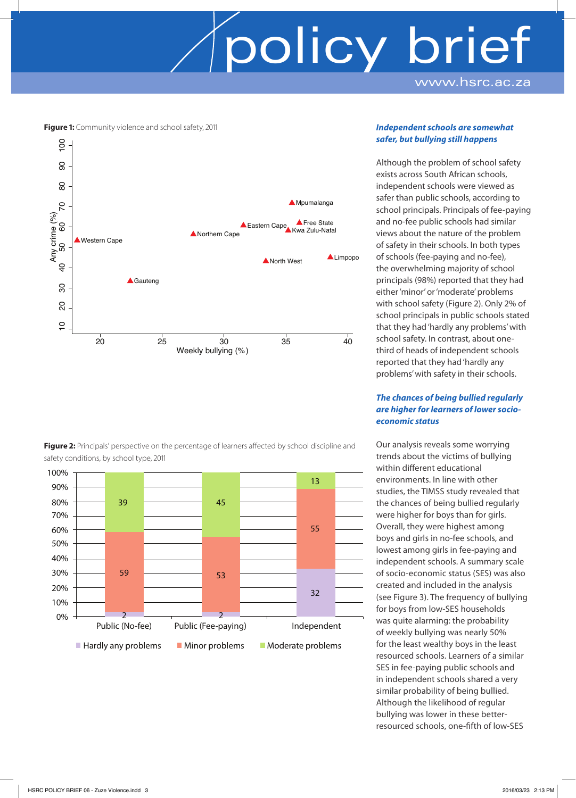# policy brief www.hsrc.ac.za

**Figure 1:** Community violence and school safety, 2011



Figure 2: Principals' perspective on the percentage of learners affected by school discipline and safety conditions, by school type, 2011



#### *Independent schools are somewhat safer, but bullying still happens*

Although the problem of school safety exists across South African schools, independent schools were viewed as safer than public schools, according to school principals. Principals of fee-paying and no-fee public schools had similar views about the nature of the problem of safety in their schools. In both types of schools (fee-paying and no-fee), the overwhelming majority of school principals (98%) reported that they had either 'minor' or 'moderate' problems with school safety (Figure 2). Only 2% of school principals in public schools stated that they had 'hardly any problems' with school safety. In contrast, about onethird of heads of independent schools reported that they had 'hardly any problems' with safety in their schools.

#### *The chances of being bullied regularly are higher for learners of lower socioeconomic status*

Our analysis reveals some worrying trends about the victims of bullying within different educational environments. In line with other studies, the TIMSS study revealed that the chances of being bullied regularly were higher for boys than for girls. Overall, they were highest among boys and girls in no-fee schools, and lowest among girls in fee-paying and independent schools. A summary scale of socio-economic status (SES) was also created and included in the analysis (see Figure 3). The frequency of bullying for boys from low-SES households was quite alarming: the probability of weekly bullying was nearly 50% for the least wealthy boys in the least resourced schools. Learners of a similar SES in fee-paying public schools and in independent schools shared a very similar probability of being bullied. Although the likelihood of regular bullying was lower in these betterresourced schools, one-fifth of low-SES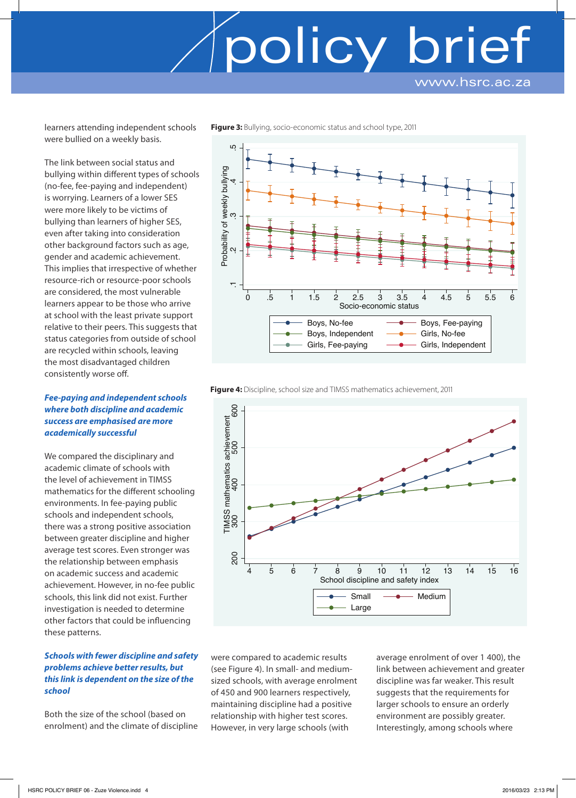www.hsrc.ac.za

learners attending independent schools were bullied on a weekly basis.

The link between social status and bullying within different types of schools (no-fee, fee-paying and independent) is worrying. Learners of a lower SES were more likely to be victims of bullying than learners of higher SES, even after taking into consideration other background factors such as age, gender and academic achievement. This implies that irrespective of whether resource-rich or resource-poor schools are considered, the most vulnerable learners appear to be those who arrive at school with the least private support relative to their peers. This suggests that status categories from outside of school are recycled within schools, leaving the most disadvantaged children consistently worse off.

#### *Fee-paying and independent schools where both discipline and academic success are emphasised are more academically successful*

We compared the disciplinary and academic climate of schools with the level of achievement in TIMSS mathematics for the different schooling environments. In fee-paying public schools and independent schools, there was a strong positive association between greater discipline and higher average test scores. Even stronger was the relationship between emphasis on academic success and academic achievement. However, in no-fee public schools, this link did not exist. Further investigation is needed to determine other factors that could be influencing these patterns.

#### *Schools with fewer discipline and safety problems achieve better results, but this link is dependent on the size of the school*

Both the size of the school (based on enrolment) and the climate of discipline **Figure 3:** Bullying, socio-economic status and school type, 2011



policy brief





were compared to academic results (see Figure 4). In small- and mediumsized schools, with average enrolment of 450 and 900 learners respectively, maintaining discipline had a positive relationship with higher test scores. However, in very large schools (with

average enrolment of over 1 400), the link between achievement and greater discipline was far weaker. This result suggests that the requirements for larger schools to ensure an orderly environment are possibly greater. Interestingly, among schools where